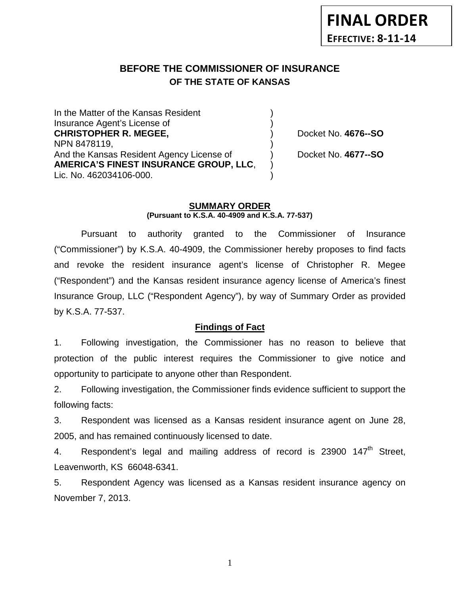# **BEFORE THE COMMISSIONER OF INSURANCE OF THE STATE OF KANSAS**

In the Matter of the Kansas Resident Insurance Agent's License of ) **CHRISTOPHER R. MEGEE,** ) Docket No. **4676--SO** NPN 8478119, And the Kansas Resident Agency License of (a) Docket No. 4677--SO **AMERICA'S FINEST INSURANCE GROUP, LLC**, ) Lic. No. 462034106-000.

### **SUMMARY ORDER (Pursuant to K.S.A. 40-4909 and K.S.A. 77-537)**

Pursuant to authority granted to the Commissioner of Insurance ("Commissioner") by K.S.A. 40-4909, the Commissioner hereby proposes to find facts and revoke the resident insurance agent's license of Christopher R. Megee ("Respondent") and the Kansas resident insurance agency license of America's finest Insurance Group, LLC ("Respondent Agency"), by way of Summary Order as provided by K.S.A. 77-537.

## **Findings of Fact**

1. Following investigation, the Commissioner has no reason to believe that protection of the public interest requires the Commissioner to give notice and opportunity to participate to anyone other than Respondent.

2. Following investigation, the Commissioner finds evidence sufficient to support the following facts:

3. Respondent was licensed as a Kansas resident insurance agent on June 28, 2005, and has remained continuously licensed to date.

4. Respondent's legal and mailing address of record is 23900 147<sup>th</sup> Street, Leavenworth, KS 66048-6341.

5. Respondent Agency was licensed as a Kansas resident insurance agency on November 7, 2013.

1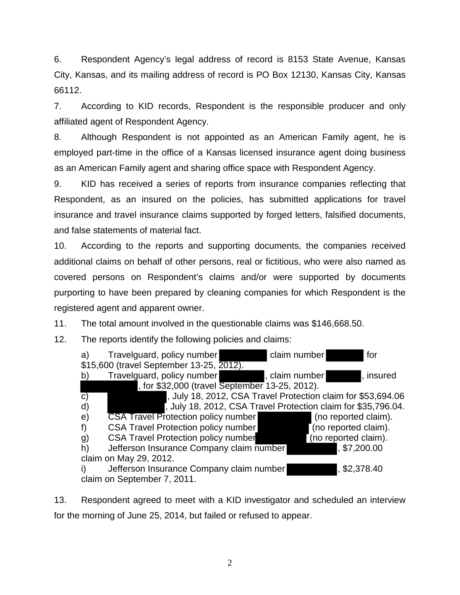6. Respondent Agency's legal address of record is 8153 State Avenue, Kansas City, Kansas, and its mailing address of record is PO Box 12130, Kansas City, Kansas 66112.

7. According to KID records, Respondent is the responsible producer and only affiliated agent of Respondent Agency.

8. Although Respondent is not appointed as an American Family agent, he is employed part-time in the office of a Kansas licensed insurance agent doing business as an American Family agent and sharing office space with Respondent Agency.

9. KID has received a series of reports from insurance companies reflecting that Respondent, as an insured on the policies, has submitted applications for travel insurance and travel insurance claims supported by forged letters, falsified documents, and false statements of material fact.

10. According to the reports and supporting documents, the companies received additional claims on behalf of other persons, real or fictitious, who were also named as covered persons on Respondent's claims and/or were supported by documents purporting to have been prepared by cleaning companies for which Respondent is the registered agent and apparent owner.

11. The total amount involved in the questionable claims was \$146,668.50.

12. The reports identify the following policies and claims:

| a)                                             | Travelguard, policy number                                    | claim number   | for                              |
|------------------------------------------------|---------------------------------------------------------------|----------------|----------------------------------|
| \$15,600 (travel September 13-25, 2012).       |                                                               |                |                                  |
| b)                                             | Travelguard, policy number                                    | , claim number | , insured                        |
| , for \$32,000 (travel September 13-25, 2012). |                                                               |                |                                  |
| $\mathbf{C}$                                   | July 18, 2012, CSA Travel Protection claim for \$53,694.06    |                |                                  |
| d)                                             | , July 18, 2012, CSA Travel Protection claim for \$35,796.04. |                |                                  |
| e)                                             | <b>CSA Travel Protection policy number</b>                    |                | (no reported claim).             |
| f)                                             | CSA Travel Protection policy number                           |                | $\lceil$ (no reported claim).    |
| g)                                             | <b>CSA Travel Protection policy number</b>                    |                | $\sqrt{\ }$ (no reported claim). |
| h)                                             | Jefferson Insurance Company claim number                      |                | , \$7,200.00                     |
| claim on May 29, 2012.                         |                                                               |                |                                  |
| i)                                             | Jefferson Insurance Company claim number                      |                | , \$2,378.40                     |
| claim on September 7, 2011.                    |                                                               |                |                                  |

13. Respondent agreed to meet with a KID investigator and scheduled an interview for the morning of June 25, 2014, but failed or refused to appear.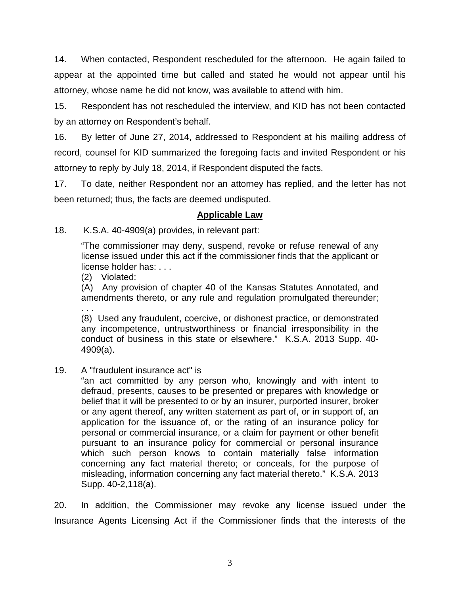14. When contacted, Respondent rescheduled for the afternoon. He again failed to appear at the appointed time but called and stated he would not appear until his attorney, whose name he did not know, was available to attend with him.

15. Respondent has not rescheduled the interview, and KID has not been contacted by an attorney on Respondent's behalf.

16. By letter of June 27, 2014, addressed to Respondent at his mailing address of record, counsel for KID summarized the foregoing facts and invited Respondent or his attorney to reply by July 18, 2014, if Respondent disputed the facts.

17. To date, neither Respondent nor an attorney has replied, and the letter has not been returned; thus, the facts are deemed undisputed.

### **Applicable Law**

18. K.S.A. 40-4909(a) provides, in relevant part:

"The commissioner may deny, suspend, revoke or refuse renewal of any license issued under this act if the commissioner finds that the applicant or license holder has: . . .

(2) Violated:

(A) Any provision of chapter 40 of the Kansas Statutes Annotated, and amendments thereto, or any rule and regulation promulgated thereunder; . . .

(8) Used any fraudulent, coercive, or dishonest practice, or demonstrated any incompetence, untrustworthiness or financial irresponsibility in the conduct of business in this state or elsewhere." K.S.A. 2013 Supp. 40- 4909(a).

### 19. A "fraudulent insurance act" is

"an act committed by any person who, knowingly and with intent to defraud, presents, causes to be presented or prepares with knowledge or belief that it will be presented to or by an insurer, purported insurer, broker or any agent thereof, any written statement as part of, or in support of, an application for the issuance of, or the rating of an insurance policy for personal or commercial insurance, or a claim for payment or other benefit pursuant to an insurance policy for commercial or personal insurance which such person knows to contain materially false information concerning any fact material thereto; or conceals, for the purpose of misleading, information concerning any fact material thereto." K.S.A. 2013 Supp. 40-2,118(a).

20. In addition, the Commissioner may revoke any license issued under the Insurance Agents Licensing Act if the Commissioner finds that the interests of the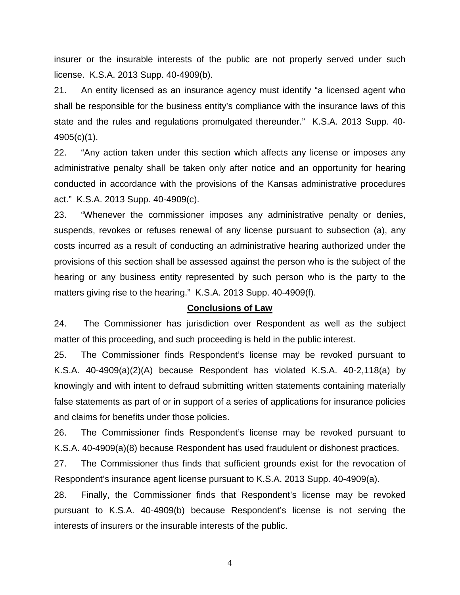insurer or the insurable interests of the public are not properly served under such license. K.S.A. 2013 Supp. 40-4909(b).

21. An entity licensed as an insurance agency must identify "a licensed agent who shall be responsible for the business entity's compliance with the insurance laws of this state and the rules and regulations promulgated thereunder." K.S.A. 2013 Supp. 40- 4905(c)(1).

22. "Any action taken under this section which affects any license or imposes any administrative penalty shall be taken only after notice and an opportunity for hearing conducted in accordance with the provisions of the Kansas administrative procedures act." K.S.A. 2013 Supp. 40-4909(c).

23. "Whenever the commissioner imposes any administrative penalty or denies, suspends, revokes or refuses renewal of any license pursuant to subsection (a), any costs incurred as a result of conducting an administrative hearing authorized under the provisions of this section shall be assessed against the person who is the subject of the hearing or any business entity represented by such person who is the party to the matters giving rise to the hearing." K.S.A. 2013 Supp. 40-4909(f).

#### **Conclusions of Law**

24. The Commissioner has jurisdiction over Respondent as well as the subject matter of this proceeding, and such proceeding is held in the public interest.

25. The Commissioner finds Respondent's license may be revoked pursuant to K.S.A. 40-4909(a)(2)(A) because Respondent has violated K.S.A. 40-2,118(a) by knowingly and with intent to defraud submitting written statements containing materially false statements as part of or in support of a series of applications for insurance policies and claims for benefits under those policies.

26. The Commissioner finds Respondent's license may be revoked pursuant to K.S.A. 40-4909(a)(8) because Respondent has used fraudulent or dishonest practices.

27. The Commissioner thus finds that sufficient grounds exist for the revocation of Respondent's insurance agent license pursuant to K.S.A. 2013 Supp. 40-4909(a).

28. Finally, the Commissioner finds that Respondent's license may be revoked pursuant to K.S.A. 40-4909(b) because Respondent's license is not serving the interests of insurers or the insurable interests of the public.

4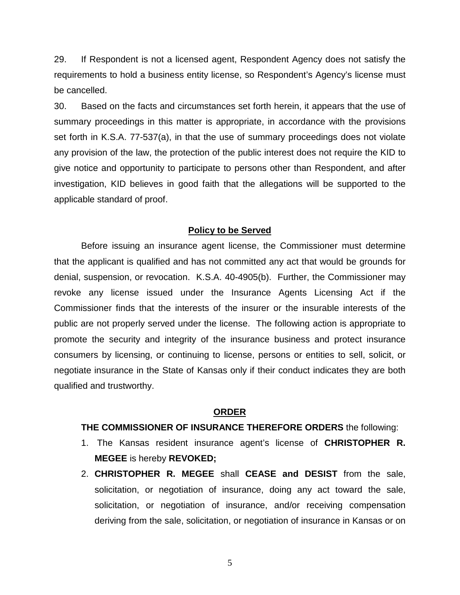29. If Respondent is not a licensed agent, Respondent Agency does not satisfy the requirements to hold a business entity license, so Respondent's Agency's license must be cancelled.

30. Based on the facts and circumstances set forth herein, it appears that the use of summary proceedings in this matter is appropriate, in accordance with the provisions set forth in K.S.A. 77-537(a), in that the use of summary proceedings does not violate any provision of the law, the protection of the public interest does not require the KID to give notice and opportunity to participate to persons other than Respondent, and after investigation, KID believes in good faith that the allegations will be supported to the applicable standard of proof.

#### **Policy to be Served**

Before issuing an insurance agent license, the Commissioner must determine that the applicant is qualified and has not committed any act that would be grounds for denial, suspension, or revocation. K.S.A. 40-4905(b). Further, the Commissioner may revoke any license issued under the Insurance Agents Licensing Act if the Commissioner finds that the interests of the insurer or the insurable interests of the public are not properly served under the license. The following action is appropriate to promote the security and integrity of the insurance business and protect insurance consumers by licensing, or continuing to license, persons or entities to sell, solicit, or negotiate insurance in the State of Kansas only if their conduct indicates they are both qualified and trustworthy.

#### **ORDER**

#### **THE COMMISSIONER OF INSURANCE THEREFORE ORDERS** the following:

- 1. The Kansas resident insurance agent's license of **CHRISTOPHER R. MEGEE** is hereby **REVOKED;**
- 2. **CHRISTOPHER R. MEGEE** shall **CEASE and DESIST** from the sale, solicitation, or negotiation of insurance, doing any act toward the sale, solicitation, or negotiation of insurance, and/or receiving compensation deriving from the sale, solicitation, or negotiation of insurance in Kansas or on

5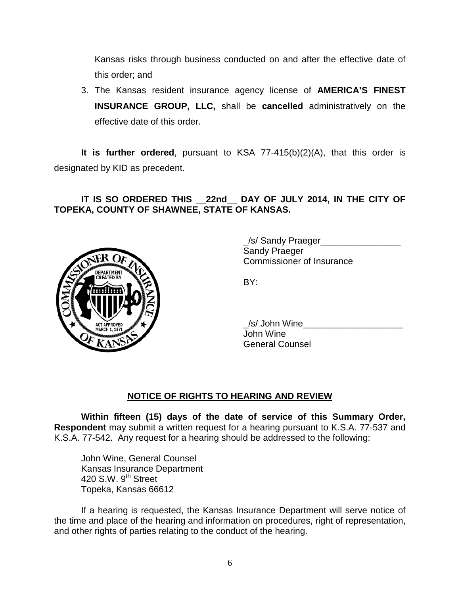Kansas risks through business conducted on and after the effective date of this order; and

3. The Kansas resident insurance agency license of **AMERICA'S FINEST INSURANCE GROUP, LLC,** shall be **cancelled** administratively on the effective date of this order.

**It is further ordered**, pursuant to KSA 77-415(b)(2)(A), that this order is designated by KID as precedent.

## **IT IS SO ORDERED THIS \_\_22nd\_\_ DAY OF JULY 2014, IN THE CITY OF TOPEKA, COUNTY OF SHAWNEE, STATE OF KANSAS.**



\_/s/ Sandy Praeger\_\_\_\_\_\_\_\_\_\_\_\_\_\_\_\_ Sandy Praeger Commissioner of Insurance

BY:

 $/\mathsf{s}/\mathsf{John}$  Wine John Wine General Counsel

## **NOTICE OF RIGHTS TO HEARING AND REVIEW**

**Within fifteen (15) days of the date of service of this Summary Order, Respondent** may submit a written request for a hearing pursuant to K.S.A. 77-537 and K.S.A. 77-542. Any request for a hearing should be addressed to the following:

John Wine, General Counsel Kansas Insurance Department 420 S.W. 9<sup>th</sup> Street Topeka, Kansas 66612

If a hearing is requested, the Kansas Insurance Department will serve notice of the time and place of the hearing and information on procedures, right of representation, and other rights of parties relating to the conduct of the hearing.